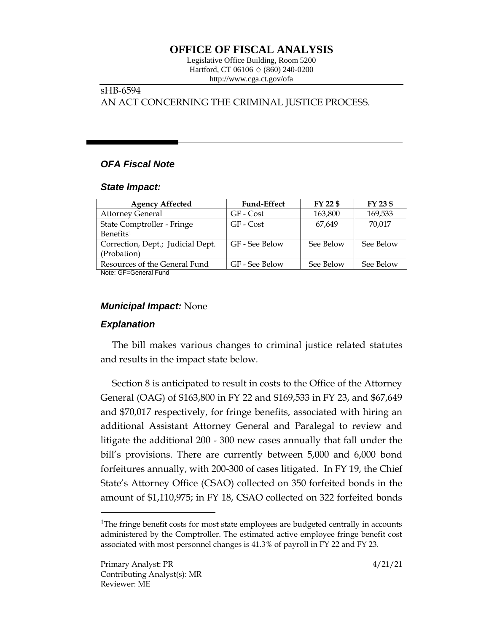# **OFFICE OF FISCAL ANALYSIS**

Legislative Office Building, Room 5200 Hartford, CT 06106  $\Diamond$  (860) 240-0200 http://www.cga.ct.gov/ofa

# sHB-6594 AN ACT CONCERNING THE CRIMINAL JUSTICE PROCESS.

# *OFA Fiscal Note*

#### *State Impact:*

| <b>Agency Affected</b>            | <b>Fund-Effect</b> | FY 22 \$  | FY 23 \$  |
|-----------------------------------|--------------------|-----------|-----------|
| <b>Attorney General</b>           | GF - Cost          | 163,800   | 169,533   |
| State Comptroller - Fringe        | GF - Cost          | 67.649    | 70,017    |
| Benefits <sup>1</sup>             |                    |           |           |
| Correction, Dept.; Judicial Dept. | GF - See Below     | See Below | See Below |
| (Probation)                       |                    |           |           |
| Resources of the General Fund     | GF - See Below     | See Below | See Below |
| Noto: CE-Conoral Eund             |                    |           |           |

Note: GF=General Fund

### *Municipal Impact:* None

### *Explanation*

The bill makes various changes to criminal justice related statutes and results in the impact state below.

Section 8 is anticipated to result in costs to the Office of the Attorney General (OAG) of \$163,800 in FY 22 and \$169,533 in FY 23, and \$67,649 and \$70,017 respectively, for fringe benefits, associated with hiring an additional Assistant Attorney General and Paralegal to review and litigate the additional 200 - 300 new cases annually that fall under the bill's provisions. There are currently between 5,000 and 6,000 bond forfeitures annually, with 200-300 of cases litigated. In FY 19, the Chief State's Attorney Office (CSAO) collected on 350 forfeited bonds in the amount of \$1,110,975; in FY 18, CSAO collected on 322 forfeited bonds

 $\overline{a}$ 

<sup>&</sup>lt;sup>1</sup>The fringe benefit costs for most state employees are budgeted centrally in accounts administered by the Comptroller. The estimated active employee fringe benefit cost associated with most personnel changes is 41.3% of payroll in FY 22 and FY 23.